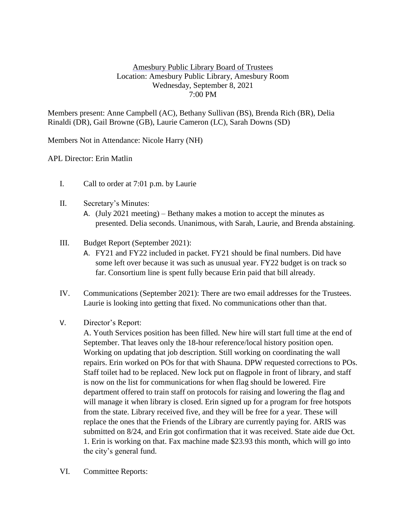## Amesbury Public Library Board of Trustees Location: Amesbury Public Library, Amesbury Room Wednesday, September 8, 2021 7:00 PM

Members present: Anne Campbell (AC), Bethany Sullivan (BS), Brenda Rich (BR), Delia Rinaldi (DR), Gail Browne (GB), Laurie Cameron (LC), Sarah Downs (SD)

Members Not in Attendance: Nicole Harry (NH)

## APL Director: Erin Matlin

- I. Call to order at 7:01 p.m. by Laurie
- II. Secretary's Minutes:
	- A. (July 2021 meeting) Bethany makes a motion to accept the minutes as presented. Delia seconds. Unanimous, with Sarah, Laurie, and Brenda abstaining.
- III. Budget Report (September 2021):
	- A. FY21 and FY22 included in packet. FY21 should be final numbers. Did have some left over because it was such as unusual year. FY22 budget is on track so far. Consortium line is spent fully because Erin paid that bill already.
- IV. Communications (September 2021): There are two email addresses for the Trustees. Laurie is looking into getting that fixed. No communications other than that.
- V. Director's Report:

A. Youth Services position has been filled. New hire will start full time at the end of September. That leaves only the 18-hour reference/local history position open. Working on updating that job description. Still working on coordinating the wall repairs. Erin worked on POs for that with Shauna. DPW requested corrections to POs. Staff toilet had to be replaced. New lock put on flagpole in front of library, and staff is now on the list for communications for when flag should be lowered. Fire department offered to train staff on protocols for raising and lowering the flag and will manage it when library is closed. Erin signed up for a program for free hotspots from the state. Library received five, and they will be free for a year. These will replace the ones that the Friends of the Library are currently paying for. ARIS was submitted on 8/24, and Erin got confirmation that it was received. State aide due Oct. 1. Erin is working on that. Fax machine made \$23.93 this month, which will go into the city's general fund.

VI. Committee Reports: